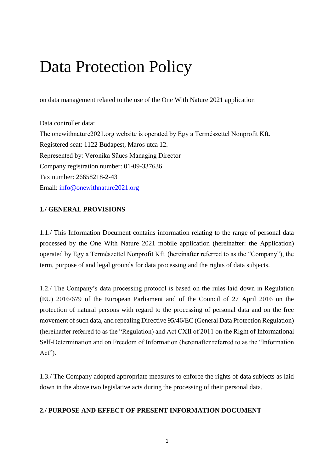# Data Protection Policy

on data management related to the use of the One With Nature 2021 application

Data controller data: The onewithnature2021.org website is operated by Egy a Természettel Nonprofit Kft. Registered seat: 1122 Budapest, Maros utca 12. Represented by: Veronika Sűucs Managing Director Company registration number: 01-09-337636 Tax number: 26658218-2-43 Email: [info@onewithnature2021.org](mailto:info@onewithnature2021.org)

#### **1./ GENERAL PROVISIONS**

1.1./ This Information Document contains information relating to the range of personal data processed by the One With Nature 2021 mobile application (hereinafter: the Application) operated by Egy a Természettel Nonprofit Kft. (hereinafter referred to as the "Company"), the term, purpose of and legal grounds for data processing and the rights of data subjects.

1.2./ The Company's data processing protocol is based on the rules laid down in Regulation (EU) 2016/679 of the European Parliament and of the Council of 27 April 2016 on the protection of natural persons with regard to the processing of personal data and on the free movement of such data, and repealing Directive 95/46/EC (General Data Protection Regulation) (hereinafter referred to as the "Regulation) and Act CXII of 2011 on the Right of Informational Self-Determination and on Freedom of Information (hereinafter referred to as the "Information Act").

1.3./ The Company adopted appropriate measures to enforce the rights of data subjects as laid down in the above two legislative acts during the processing of their personal data.

# **2./ PURPOSE AND EFFECT OF PRESENT INFORMATION DOCUMENT**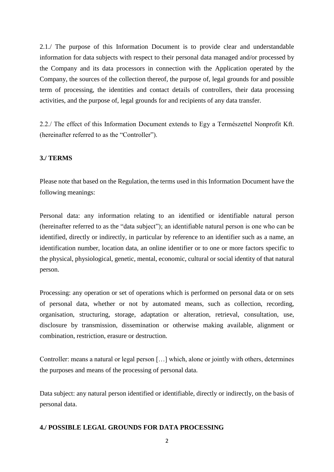2.1./ The purpose of this Information Document is to provide clear and understandable information for data subjects with respect to their personal data managed and/or processed by the Company and its data processors in connection with the Application operated by the Company, the sources of the collection thereof, the purpose of, legal grounds for and possible term of processing, the identities and contact details of controllers, their data processing activities, and the purpose of, legal grounds for and recipients of any data transfer.

2.2./ The effect of this Information Document extends to Egy a Természettel Nonprofit Kft. (hereinafter referred to as the "Controller").

#### **3./ TERMS**

Please note that based on the Regulation, the terms used in this Information Document have the following meanings:

Personal data: any information relating to an identified or identifiable natural person (hereinafter referred to as the "data subject"); an identifiable natural person is one who can be identified, directly or indirectly, in particular by reference to an identifier such as a name, an identification number, location data, an online identifier or to one or more factors specific to the physical, physiological, genetic, mental, economic, cultural or social identity of that natural person.

Processing: any operation or set of operations which is performed on personal data or on sets of personal data, whether or not by automated means, such as collection, recording, organisation, structuring, storage, adaptation or alteration, retrieval, consultation, use, disclosure by transmission, dissemination or otherwise making available, alignment or combination, restriction, erasure or destruction.

Controller: means a natural or legal person […] which, alone or jointly with others, determines the purposes and means of the processing of personal data.

Data subject: any natural person identified or identifiable, directly or indirectly, on the basis of personal data.

# **4./ POSSIBLE LEGAL GROUNDS FOR DATA PROCESSING**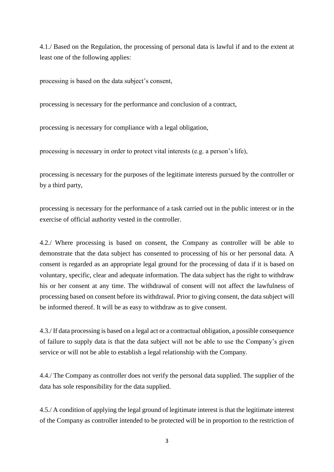4.1./ Based on the Regulation, the processing of personal data is lawful if and to the extent at least one of the following applies:

processing is based on the data subject's consent,

processing is necessary for the performance and conclusion of a contract,

processing is necessary for compliance with a legal obligation,

processing is necessary in order to protect vital interests (e.g. a person's life),

processing is necessary for the purposes of the legitimate interests pursued by the controller or by a third party,

processing is necessary for the performance of a task carried out in the public interest or in the exercise of official authority vested in the controller.

4.2./ Where processing is based on consent, the Company as controller will be able to demonstrate that the data subject has consented to processing of his or her personal data. A consent is regarded as an appropriate legal ground for the processing of data if it is based on voluntary, specific, clear and adequate information. The data subject has the right to withdraw his or her consent at any time. The withdrawal of consent will not affect the lawfulness of processing based on consent before its withdrawal. Prior to giving consent, the data subject will be informed thereof. It will be as easy to withdraw as to give consent.

4.3./ If data processing is based on a legal act or a contractual obligation, a possible consequence of failure to supply data is that the data subject will not be able to use the Company's given service or will not be able to establish a legal relationship with the Company.

4.4./ The Company as controller does not verify the personal data supplied. The supplier of the data has sole responsibility for the data supplied.

4.5./ A condition of applying the legal ground of legitimate interest is that the legitimate interest of the Company as controller intended to be protected will be in proportion to the restriction of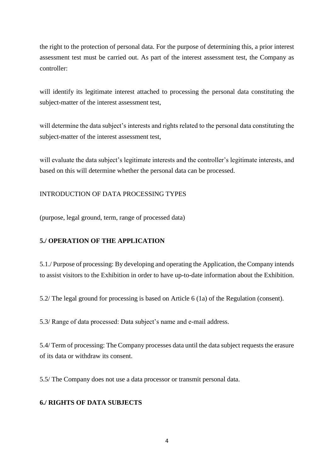the right to the protection of personal data. For the purpose of determining this, a prior interest assessment test must be carried out. As part of the interest assessment test, the Company as controller:

will identify its legitimate interest attached to processing the personal data constituting the subject-matter of the interest assessment test,

will determine the data subject's interests and rights related to the personal data constituting the subject-matter of the interest assessment test,

will evaluate the data subject's legitimate interests and the controller's legitimate interests, and based on this will determine whether the personal data can be processed.

# INTRODUCTION OF DATA PROCESSING TYPES

(purpose, legal ground, term, range of processed data)

# **5./ OPERATION OF THE APPLICATION**

5.1./ Purpose of processing: By developing and operating the Application, the Company intends to assist visitors to the Exhibition in order to have up-to-date information about the Exhibition.

5.2/ The legal ground for processing is based on Article 6 (1a) of the Regulation (consent).

5.3/ Range of data processed: Data subject's name and e-mail address.

5.4/ Term of processing: The Company processes data until the data subject requests the erasure of its data or withdraw its consent.

5.5/ The Company does not use a data processor or transmit personal data.

# **6./ RIGHTS OF DATA SUBJECTS**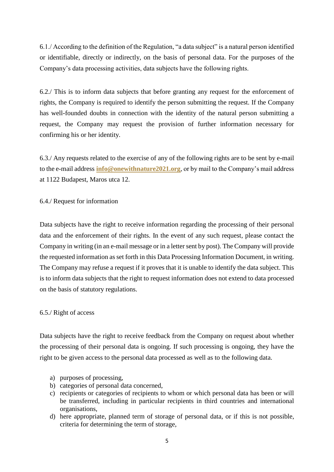6.1./ According to the definition of the Regulation, "a data subject" is a natural person identified or identifiable, directly or indirectly, on the basis of personal data. For the purposes of the Company's data processing activities, data subjects have the following rights.

6.2./ This is to inform data subjects that before granting any request for the enforcement of rights, the Company is required to identify the person submitting the request. If the Company has well-founded doubts in connection with the identity of the natural person submitting a request, the Company may request the provision of further information necessary for confirming his or her identity.

6.3./ Any requests related to the exercise of any of the following rights are to be sent by e-mail to the e-mail address **[info@onewithnature2021.org](mailto:info@onewithnature2021.org)**, or by mail to the Company's mail address at 1122 Budapest, Maros utca 12.

# 6.4./ Request for information

Data subjects have the right to receive information regarding the processing of their personal data and the enforcement of their rights. In the event of any such request, please contact the Company in writing (in an e-mail message or in a letter sent by post). The Company will provide the requested information as set forth in this Data Processing Information Document, in writing. The Company may refuse a request if it proves that it is unable to identify the data subject. This is to inform data subjects that the right to request information does not extend to data processed on the basis of statutory regulations.

#### 6.5./ Right of access

Data subjects have the right to receive feedback from the Company on request about whether the processing of their personal data is ongoing. If such processing is ongoing, they have the right to be given access to the personal data processed as well as to the following data.

- a) purposes of processing,
- b) categories of personal data concerned,
- c) recipients or categories of recipients to whom or which personal data has been or will be transferred, including in particular recipients in third countries and international organisations,
- d) here appropriate, planned term of storage of personal data, or if this is not possible, criteria for determining the term of storage,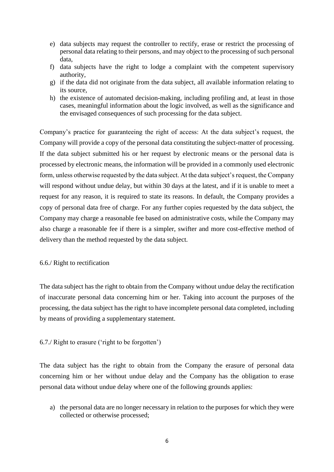- e) data subjects may request the controller to rectify, erase or restrict the processing of personal data relating to their persons, and may object to the processing of such personal data,
- f) data subjects have the right to lodge a complaint with the competent supervisory authority,
- g) if the data did not originate from the data subject, all available information relating to its source,
- h) the existence of automated decision-making, including profiling and, at least in those cases, meaningful information about the logic involved, as well as the significance and the envisaged consequences of such processing for the data subject.

Company's practice for guaranteeing the right of access: At the data subject's request, the Company will provide a copy of the personal data constituting the subject-matter of processing. If the data subject submitted his or her request by electronic means or the personal data is processed by electronic means, the information will be provided in a commonly used electronic form, unless otherwise requested by the data subject. At the data subject's request, the Company will respond without undue delay, but within 30 days at the latest, and if it is unable to meet a request for any reason, it is required to state its reasons. In default, the Company provides a copy of personal data free of charge. For any further copies requested by the data subject, the Company may charge a reasonable fee based on administrative costs, while the Company may also charge a reasonable fee if there is a simpler, swifter and more cost-effective method of delivery than the method requested by the data subject.

#### 6.6./ Right to rectification

The data subject has the right to obtain from the Company without undue delay the rectification of inaccurate personal data concerning him or her. Taking into account the purposes of the processing, the data subject has the right to have incomplete personal data completed, including by means of providing a supplementary statement.

# 6.7./ Right to erasure ('right to be forgotten')

The data subject has the right to obtain from the Company the erasure of personal data concerning him or her without undue delay and the Company has the obligation to erase personal data without undue delay where one of the following grounds applies:

a) the personal data are no longer necessary in relation to the purposes for which they were collected or otherwise processed;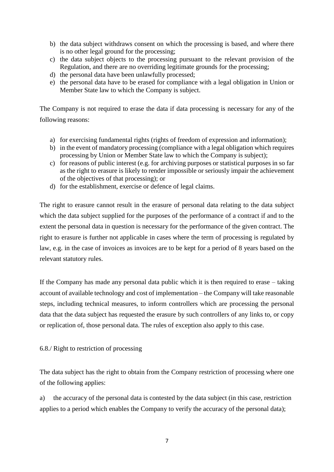- b) the data subject withdraws consent on which the processing is based, and where there is no other legal ground for the processing;
- c) the data subject objects to the processing pursuant to the relevant provision of the Regulation, and there are no overriding legitimate grounds for the processing;
- d) the personal data have been unlawfully processed;
- e) the personal data have to be erased for compliance with a legal obligation in Union or Member State law to which the Company is subject.

The Company is not required to erase the data if data processing is necessary for any of the following reasons:

- a) for exercising fundamental rights (rights of freedom of expression and information);
- b) in the event of mandatory processing (compliance with a legal obligation which requires processing by Union or Member State law to which the Company is subject);
- c) for reasons of public interest (e.g. for archiving purposes or statistical purposes in so far as the right to erasure is likely to render impossible or seriously impair the achievement of the objectives of that processing); or
- d) for the establishment, exercise or defence of legal claims.

The right to erasure cannot result in the erasure of personal data relating to the data subject which the data subject supplied for the purposes of the performance of a contract if and to the extent the personal data in question is necessary for the performance of the given contract. The right to erasure is further not applicable in cases where the term of processing is regulated by law, e.g. in the case of invoices as invoices are to be kept for a period of 8 years based on the relevant statutory rules.

If the Company has made any personal data public which it is then required to erase – taking account of available technology and cost of implementation – the Company will take reasonable steps, including technical measures, to inform controllers which are processing the personal data that the data subject has requested the erasure by such controllers of any links to, or copy or replication of, those personal data. The rules of exception also apply to this case.

# 6.8./ Right to restriction of processing

The data subject has the right to obtain from the Company restriction of processing where one of the following applies:

a) the accuracy of the personal data is contested by the data subject (in this case, restriction applies to a period which enables the Company to verify the accuracy of the personal data);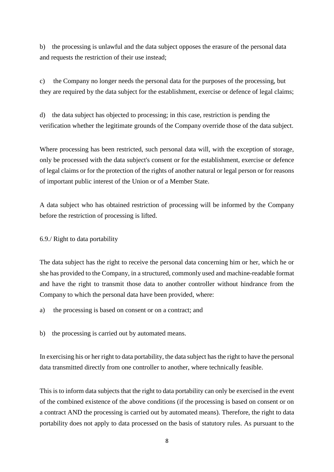b) the processing is unlawful and the data subject opposes the erasure of the personal data and requests the restriction of their use instead;

c) the Company no longer needs the personal data for the purposes of the processing, but they are required by the data subject for the establishment, exercise or defence of legal claims;

d) the data subject has objected to processing; in this case, restriction is pending the verification whether the legitimate grounds of the Company override those of the data subject.

Where processing has been restricted, such personal data will, with the exception of storage, only be processed with the data subject's consent or for the establishment, exercise or defence of legal claims or for the protection of the rights of another natural or legal person or for reasons of important public interest of the Union or of a Member State.

A data subject who has obtained restriction of processing will be informed by the Company before the restriction of processing is lifted.

6.9./ Right to data portability

The data subject has the right to receive the personal data concerning him or her, which he or she has provided to the Company, in a structured, commonly used and machine-readable format and have the right to transmit those data to another controller without hindrance from the Company to which the personal data have been provided, where:

- a) the processing is based on consent or on a contract; and
- b) the processing is carried out by automated means.

In exercising his or her right to data portability, the data subject has the right to have the personal data transmitted directly from one controller to another, where technically feasible.

This is to inform data subjects that the right to data portability can only be exercised in the event of the combined existence of the above conditions (if the processing is based on consent or on a contract AND the processing is carried out by automated means). Therefore, the right to data portability does not apply to data processed on the basis of statutory rules. As pursuant to the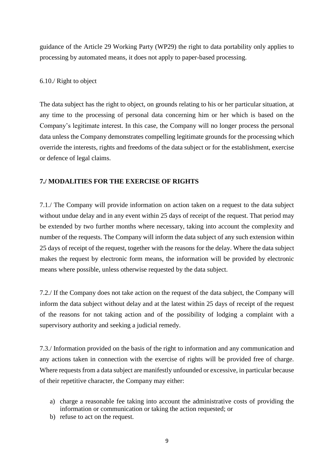guidance of the Article 29 Working Party (WP29) the right to data portability only applies to processing by automated means, it does not apply to paper-based processing.

#### 6.10./ Right to object

The data subject has the right to object, on grounds relating to his or her particular situation, at any time to the processing of personal data concerning him or her which is based on the Company's legitimate interest. In this case, the Company will no longer process the personal data unless the Company demonstrates compelling legitimate grounds for the processing which override the interests, rights and freedoms of the data subject or for the establishment, exercise or defence of legal claims.

# **7./ MODALITIES FOR THE EXERCISE OF RIGHTS**

7.1./ The Company will provide information on action taken on a request to the data subject without undue delay and in any event within 25 days of receipt of the request. That period may be extended by two further months where necessary, taking into account the complexity and number of the requests. The Company will inform the data subject of any such extension within 25 days of receipt of the request, together with the reasons for the delay. Where the data subject makes the request by electronic form means, the information will be provided by electronic means where possible, unless otherwise requested by the data subject.

7.2./ If the Company does not take action on the request of the data subject, the Company will inform the data subject without delay and at the latest within 25 days of receipt of the request of the reasons for not taking action and of the possibility of lodging a complaint with a supervisory authority and seeking a judicial remedy.

7.3./ Information provided on the basis of the right to information and any communication and any actions taken in connection with the exercise of rights will be provided free of charge. Where requests from a data subject are manifestly unfounded or excessive, in particular because of their repetitive character, the Company may either:

- a) charge a reasonable fee taking into account the administrative costs of providing the information or communication or taking the action requested; or
- b) refuse to act on the request.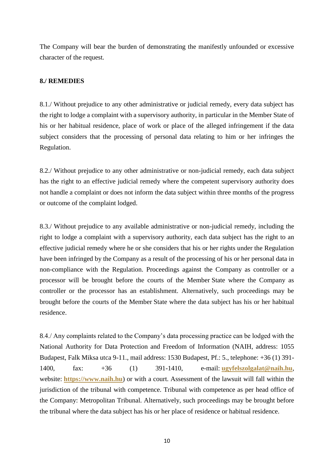The Company will bear the burden of demonstrating the manifestly unfounded or excessive character of the request.

# **8./ REMEDIES**

8.1./ Without prejudice to any other administrative or judicial remedy, every data subject has the right to lodge a complaint with a supervisory authority, in particular in the Member State of his or her habitual residence, place of work or place of the alleged infringement if the data subject considers that the processing of personal data relating to him or her infringes the Regulation.

8.2./ Without prejudice to any other administrative or non-judicial remedy, each data subject has the right to an effective judicial remedy where the competent supervisory authority does not handle a complaint or does not inform the data subject within three months of the progress or outcome of the complaint lodged.

8.3./ Without prejudice to any available administrative or non-judicial remedy, including the right to lodge a complaint with a supervisory authority, each data subject has the right to an effective judicial remedy where he or she considers that his or her rights under the Regulation have been infringed by the Company as a result of the processing of his or her personal data in non-compliance with the Regulation. Proceedings against the Company as controller or a processor will be brought before the courts of the Member State where the Company as controller or the processor has an establishment. Alternatively, such proceedings may be brought before the courts of the Member State where the data subject has his or her habitual residence.

8.4./ Any complaints related to the Company's data processing practice can be lodged with the National Authority for Data Protection and Freedom of Information (NAIH, address: 1055 Budapest, Falk Miksa utca 9-11., mail address: 1530 Budapest, Pf.: 5., telephone: +36 (1) 391- 1400, fax: +36 (1) 391-1410, e-mail: **[ugyfelszolgalat@naih.hu](mailto:ugyfelszolgalat@naih.hu)**, website: **[https://www.naih.hu](https://www.naih.hu/)**) or with a court. Assessment of the lawsuit will fall within the jurisdiction of the tribunal with competence. Tribunal with competence as per head office of the Company: Metropolitan Tribunal. Alternatively, such proceedings may be brought before the tribunal where the data subject has his or her place of residence or habitual residence.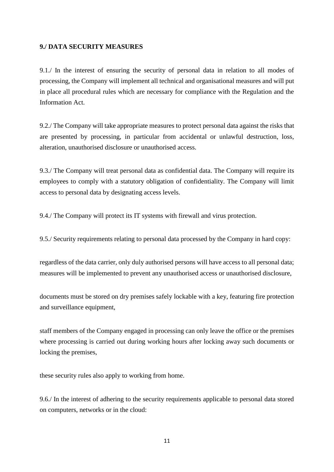# **9./ DATA SECURITY MEASURES**

9.1./ In the interest of ensuring the security of personal data in relation to all modes of processing, the Company will implement all technical and organisational measures and will put in place all procedural rules which are necessary for compliance with the Regulation and the Information Act.

9.2./ The Company will take appropriate measures to protect personal data against the risks that are presented by processing, in particular from accidental or unlawful destruction, loss, alteration, unauthorised disclosure or unauthorised access.

9.3./ The Company will treat personal data as confidential data. The Company will require its employees to comply with a statutory obligation of confidentiality. The Company will limit access to personal data by designating access levels.

9.4./ The Company will protect its IT systems with firewall and virus protection.

9.5./ Security requirements relating to personal data processed by the Company in hard copy:

regardless of the data carrier, only duly authorised persons will have access to all personal data; measures will be implemented to prevent any unauthorised access or unauthorised disclosure,

documents must be stored on dry premises safely lockable with a key, featuring fire protection and surveillance equipment,

staff members of the Company engaged in processing can only leave the office or the premises where processing is carried out during working hours after locking away such documents or locking the premises,

these security rules also apply to working from home.

9.6./ In the interest of adhering to the security requirements applicable to personal data stored on computers, networks or in the cloud: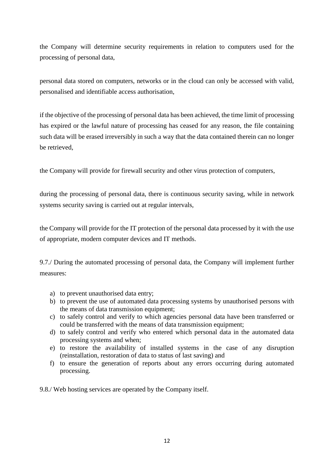the Company will determine security requirements in relation to computers used for the processing of personal data,

personal data stored on computers, networks or in the cloud can only be accessed with valid, personalised and identifiable access authorisation,

if the objective of the processing of personal data has been achieved, the time limit of processing has expired or the lawful nature of processing has ceased for any reason, the file containing such data will be erased irreversibly in such a way that the data contained therein can no longer be retrieved,

the Company will provide for firewall security and other virus protection of computers,

during the processing of personal data, there is continuous security saving, while in network systems security saving is carried out at regular intervals,

the Company will provide for the IT protection of the personal data processed by it with the use of appropriate, modern computer devices and IT methods.

9.7./ During the automated processing of personal data, the Company will implement further measures:

- a) to prevent unauthorised data entry;
- b) to prevent the use of automated data processing systems by unauthorised persons with the means of data transmission equipment;
- c) to safely control and verify to which agencies personal data have been transferred or could be transferred with the means of data transmission equipment;
- d) to safely control and verify who entered which personal data in the automated data processing systems and when;
- e) to restore the availability of installed systems in the case of any disruption (reinstallation, restoration of data to status of last saving) and
- f) to ensure the generation of reports about any errors occurring during automated processing.

9.8./ Web hosting services are operated by the Company itself.